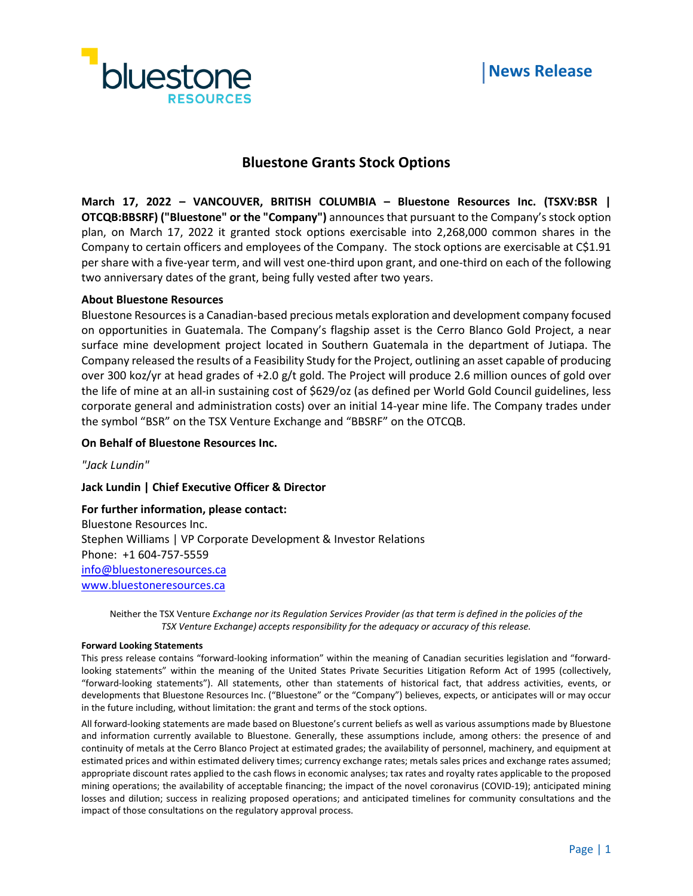



# **Bluestone Grants Stock Options**

**March 17, 2022 – VANCOUVER, BRITISH COLUMBIA – Bluestone Resources Inc. (TSXV:BSR | OTCQB:BBSRF) ("Bluestone" or the "Company")** announces that pursuant to the Company's stock option plan, on March 17, 2022 it granted stock options exercisable into 2,268,000 common shares in the Company to certain officers and employees of the Company. The stock options are exercisable at C\$1.91 per share with a five-year term, and will vest one-third upon grant, and one-third on each of the following two anniversary dates of the grant, being fully vested after two years.

## **About Bluestone Resources**

Bluestone Resources is a Canadian-based precious metals exploration and development company focused on opportunities in Guatemala. The Company's flagship asset is the Cerro Blanco Gold Project, a near surface mine development project located in Southern Guatemala in the department of Jutiapa. The Company released the results of a Feasibility Study for the Project, outlining an asset capable of producing over 300 koz/yr at head grades of +2.0 g/t gold. The Project will produce 2.6 million ounces of gold over the life of mine at an all-in sustaining cost of \$629/oz (as defined per World Gold Council guidelines, less corporate general and administration costs) over an initial 14-year mine life. The Company trades under the symbol "BSR" on the TSX Venture Exchange and "BBSRF" on the OTCQB.

## **On Behalf of Bluestone Resources Inc.**

*"Jack Lundin"*

### **Jack Lundin | Chief Executive Officer & Director**

**For further information, please contact:** Bluestone Resources Inc. Stephen Williams | VP Corporate Development & Investor Relations Phone: +1 604-757-5559 [info@bluestoneresources.ca](mailto:info@bluestoneresources.ca) [www.bluestoneresources.ca](http://www.bluestoneresources.ca/) 

Neither the TSX Venture *Exchange nor its Regulation Services Provider (as that term is defined in the policies of the TSX Venture Exchange) accepts responsibility for the adequacy or accuracy of this release.*

#### **Forward Looking Statements**

This press release contains "forward-looking information" within the meaning of Canadian securities legislation and "forwardlooking statements" within the meaning of the United States Private Securities Litigation Reform Act of 1995 (collectively, "forward-looking statements"). All statements, other than statements of historical fact, that address activities, events, or developments that Bluestone Resources Inc. ("Bluestone" or the "Company") believes, expects, or anticipates will or may occur in the future including, without limitation: the grant and terms of the stock options.

All forward-looking statements are made based on Bluestone's current beliefs as well as various assumptions made by Bluestone and information currently available to Bluestone. Generally, these assumptions include, among others: the presence of and continuity of metals at the Cerro Blanco Project at estimated grades; the availability of personnel, machinery, and equipment at estimated prices and within estimated delivery times; currency exchange rates; metals sales prices and exchange rates assumed; appropriate discount rates applied to the cash flows in economic analyses; tax rates and royalty rates applicable to the proposed mining operations; the availability of acceptable financing; the impact of the novel coronavirus (COVID-19); anticipated mining losses and dilution; success in realizing proposed operations; and anticipated timelines for community consultations and the impact of those consultations on the regulatory approval process.